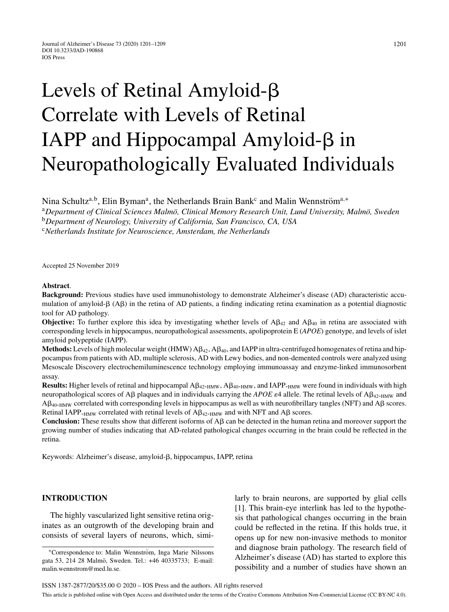# Levels of Retinal Amyloid- $\beta$ Correlate with Levels of Retinal IAPP and Hippocampal Amyloid- $\beta$  in Neuropathologically Evaluated Individuals

Nina Schultz<sup>a,b</sup>, Elin Byman<sup>a</sup>, the Netherlands Brain Bank<sup>c</sup> and Malin Wennström<sup>a,∗</sup>

<sup>a</sup>Department of Clinical Sciences Malmö, Clinical Memory Research Unit, Lund University, Malmö, Sweden

<sup>b</sup>*Department of Neurology, University of California, San Francisco, CA, USA*

<sup>c</sup>*Netherlands Institute for Neuroscience, Amsterdam, the Netherlands*

Accepted 25 November 2019

#### **Abstract**.

**Background:** Previous studies have used immunohistology to demonstrate Alzheimer's disease (AD) characteristic accumulation of amyloid- $\beta$  (A $\beta$ ) in the retina of AD patients, a finding indicating retina examination as a potential diagnostic tool for AD pathology.

**Objective:** To further explore this idea by investigating whether levels of  $A\beta_{42}$  and  $A\beta_{40}$  in retina are associated with corresponding levels in hippocampus, neuropathological assessments, apolipoprotein E (*APOE*) genotype, and levels of islet amyloid polypeptide (IAPP).

 $$ pocampus from patients with AD, multiple sclerosis, AD with Lewy bodies, and non-demented controls were analyzed using Mesoscale Discovery electrochemiluminescence technology employing immunoassay and enzyme-linked immunosorbent assay.

**Results:** Higher levels of retinal and hippocampal  $A\beta_{42-HMW}$ ,  $A\beta_{40-HMW}$ , and IAPP- $_{HMW}$  were found in individuals with high neuropathological scores of A $\beta$  plaques and in individuals carrying the *APOE*  $\varepsilon$ 4 allele. The retinal levels of A $\beta$ <sub>42-HMW</sub> and  $A\beta_{40-HMW}$  correlated with corresponding levels in hippocampus as well as with neurofibrillary tangles (NFT) and  $A\beta$  scores. Retinal IAPP- $_{\text{HMW}}$  correlated with retinal levels of A $\beta_{\text{42-HMW}}$  and with NFT and A $\beta$  scores.

**Conclusion:** These results show that different isoforms of  $\mathsf{A}\beta$  can be detected in the human retina and moreover support the growing number of studies indicating that AD-related pathological changes occurring in the brain could be reflected in the retina.

Keywords: Alzheimer's disease, amyloid- $\beta$ , hippocampus, IAPP, retina

## **INTRODUCTION**

The highly vascularized light sensitive retina originates as an outgrowth of the developing brain and consists of several layers of neurons, which, similarly to brain neurons, are supported by glial cells [1]. This brain-eye interlink has led to the hypothesis that pathological changes occurring in the brain could be reflected in the retina. If this holds true, it opens up for new non-invasive methods to monitor and diagnose brain pathology. The research field of Alzheimer's disease (AD) has started to explore this possibility and a number of studies have shown an

<sup>\*</sup>Correspondence to: Malin Wennström, Inga Marie Nilssons gata 53, 214 28 Malmö, Sweden. Tel.: +46 40335733; E-mail: [malin.wennstrom@med.lu.se](mailto:malin.wennstrom@med.lu.se).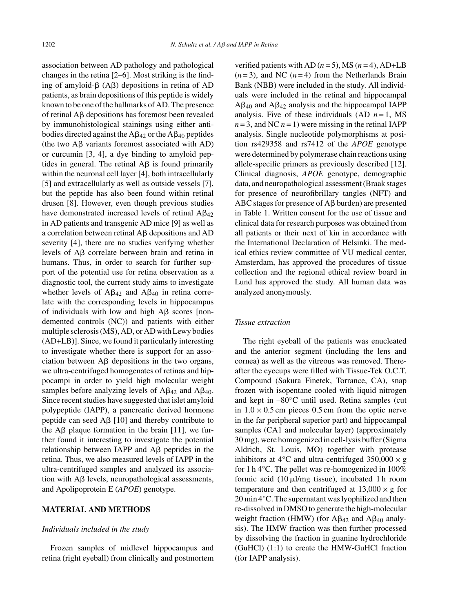association between AD pathology and pathological changes in the retina [2–6]. Most striking is the finding of amyloid- $\beta$  (A $\beta$ ) depositions in retina of AD patients, as brain depositions of this peptide is widely known to be one of the hallmarks of AD. The presence of retinal  $\text{A}\beta$  depositions has foremost been revealed by immunohistological stainings using either antibodies directed against the  $A\beta_{42}$  or the  $A\beta_{40}$  peptides (the two  $A\beta$  variants foremost associated with AD) or curcumin [3, 4], a dye binding to amyloid peptides in general. The retinal  $\text{A}\beta$  is found primarily within the neuronal cell layer [4], both intracellularly [5] and extracellularly as well as outside vessels [7], but the peptide has also been found within retinal drusen [8]. However, even though previous studies have demonstrated increased levels of retinal  $AB_{42}$ in AD patients and transgenic AD mice [9] as well as a correlation between retinal  $A\beta$  depositions and  $AD$ severity [4], there are no studies verifying whether levels of  $A\beta$  correlate between brain and retina in humans. Thus, in order to search for further support of the potential use for retina observation as a diagnostic tool, the current study aims to investigate whether levels of  $A\beta_{42}$  and  $A\beta_{40}$  in retina correlate with the corresponding levels in hippocampus of individuals with low and high  $\text{A}\beta$  scores [nondemented controls (NC)) and patients with either multiple sclerosis (MS), AD, or AD with Lewy bodies (AD+LB)]. Since, we found it particularly interesting to investigate whether there is support for an association between  $\text{A}\beta$  depositions in the two organs, we ultra-centrifuged homogenates of retinas and hippocampi in order to yield high molecular weight samples before analyzing levels of  $A\beta_{42}$  and  $A\beta_{40}$ . Since recent studies have suggested that islet amyloid polypeptide (IAPP), a pancreatic derived hormone peptide can seed  $\text{A}\beta$  [10] and thereby contribute to the  $\text{A}\beta$  plaque formation in the brain [11], we further found it interesting to investigate the potential relationship between IAPP and  $\overrightarrow{AB}$  peptides in the retina. Thus, we also measured levels of IAPP in the ultra-centrifuged samples and analyzed its association with  $\text{A}\beta$  levels, neuropathological assessments, and Apolipoprotein E (*APOE*) genotype.

#### **MATERIAL AND METHODS**

#### *Individuals included in the study*

Frozen samples of midlevel hippocampus and retina (right eyeball) from clinically and postmortem

verified patients with AD  $(n=5)$ , MS  $(n=4)$ , AD+LB  $(n=3)$ , and NC  $(n=4)$  from the Netherlands Brain Bank (NBB) were included in the study. All individuals were included in the retinal and hippocampal  $A\beta_{40}$  and  $A\beta_{42}$  analysis and the hippocampal IAPP analysis. Five of these individuals  $(AD \t n=1, MS)$  $n = 3$ , and NC  $n = 1$ ) were missing in the retinal IAPP analysis. Single nucleotide polymorphisms at position rs429358 and rs7412 of the *APOE* genotype were determined by polymerase chain reactions using allele-specific primers as previously described [12]. Clinical diagnosis, *APOE* genotype, demographic data, and neuropathological assessment (Braak stages for presence of neurofibrillary tangles (NFT) and ABC stages for presence of  $A\beta$  burden) are presented in Table 1. Written consent for the use of tissue and clinical data for research purposes was obtained from all patients or their next of kin in accordance with the International Declaration of Helsinki. The medical ethics review committee of VU medical center, Amsterdam, has approved the procedures of tissue collection and the regional ethical review board in Lund has approved the study. All human data was analyzed anonymously.

## *Tissue extraction*

The right eyeball of the patients was enucleated and the anterior segment (including the lens and cornea) as well as the vitreous was removed. Thereafter the eyecups were filled with Tissue-Tek O.C.T. Compound (Sakura Finetek, Torrance, CA), snap frozen with isopentane cooled with liquid nitrogen and kept in  $-80^{\circ}$ C until used. Retina samples (cut in  $1.0 \times 0.5$  cm pieces 0.5 cm from the optic nerve in the far peripheral superior part) and hippocampal samples (CA1 and molecular layer) (approximately 30 mg), were homogenized in cell-lysis buffer (Sigma Aldrich, St. Louis, MO) together with protease inhibitors at 4 $\degree$ C and ultra-centrifuged 350,000  $\times$  g for 1 h 4°C. The pellet was re-homogenized in 100% formic acid  $(10 \mu l/mg$  tissue), incubated 1 h room temperature and then centrifuged at  $13,000 \times g$  for 20 min 4°C. The supernatant was lyophilized and then re-dissolved in DMSO to generate the high-molecular weight fraction (HMW) (for  $A\beta_{42}$  and  $A\beta_{40}$  analysis). The HMW fraction was then further processed by dissolving the fraction in guanine hydrochloride (GuHCl) (1:1) to create the HMW-GuHCl fraction (for IAPP analysis).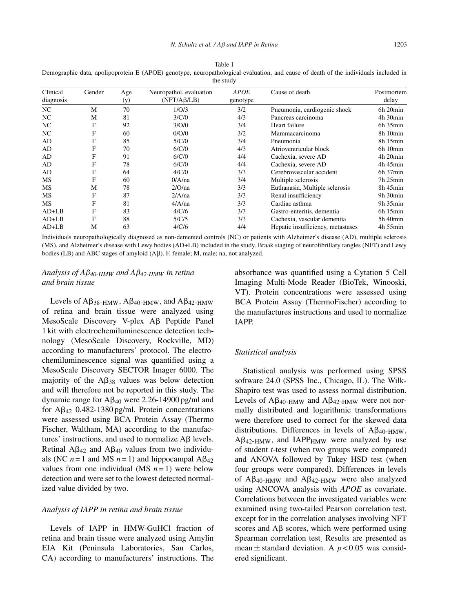Table 1 Demographic data, apolipoprotein E (APOE) genotype, neuropathological evaluation, and cause of death of the individuals included in the study

| Clinical<br>diagnosis | Gender | Age<br>(y) | Neuropathol. evaluation<br>(NFT/AB/LB) | <b>APOE</b><br>genotype | Cause of death                    | Postmortem<br>delay |
|-----------------------|--------|------------|----------------------------------------|-------------------------|-----------------------------------|---------------------|
| NC.                   | M      | 70         | 1/O/3                                  | 3/2                     | Pneumonia, cardiogenic shock      | 6h 20min            |
| NC                    | M      | 81         | 3/C/0                                  | 4/3                     | Pancreas carcinoma                | 4h 30min            |
| NC.                   | F      | 92         | 3/O/0                                  | 3/4                     | Heart failure                     | $6h$ 35 $min$       |
| NC.                   | F      | 60         | 0/O/0                                  | 3/2                     | Mammacarcinoma                    | 8h 10min            |
| AD                    | F      | 85         | 5/C/0                                  | 3/4                     | Pneumonia                         | 8h 15min            |
| AD                    | F      | 70         | 6/C/0                                  | 4/3                     | Atrioventricular block            | $6h$ 10 $min$       |
| AD                    | F      | 91         | 6/C/0                                  | 4/4                     | Cachexia, severe AD               | 4h 20min            |
| AD                    | F      | 78         | 6/C/0                                  | 4/4                     | Cachexia, severe AD               | $4h$ 45 $min$       |
| AD                    | F      | 64         | 4/C/0                                  | 3/3                     | Cerebrovascular accident          | $6h$ 37 $min$       |
| MS                    | F      | 60         | 0/A/na                                 | 3/4                     | Multiple sclerosis                | $7h$ 25 $min$       |
| MS                    | M      | 78         | 2/O/na                                 | 3/3                     | Euthanasia, Multiple sclerosis    | 8h 45min            |
| MS                    | F      | 87         | 2/A/na                                 | 3/3                     | Renal insufficiency               | 9h 30min            |
| MS                    | F      | 81         | 4/A/na                                 | 3/3                     | Cardiac asthma                    | $9h$ 35 $min$       |
| $AD+LB$               | F      | 83         | 4/C/6                                  | 3/3                     | Gastro-enteritis, dementia        | $6h$ 15 $min$       |
| $AD+LB$               | F      | 88         | 5/C/5                                  | 3/3                     | Cachexia, vascular dementia       | 5h 40min            |
| $AD+LB$               | M      | 63         | 4/C/6                                  | 4/4                     | Hepatic insufficiency, metastases | 4h 55min            |

Individuals neuropathologically diagnosed as non-demented controls (NC) or patients with Alzheimer's disease (AD), multiple sclerosis (MS), and Alzheimer's disease with Lewy bodies (AD+LB) included in the study. Braak staging of neurofibrillary tangles (NFT) and Lewy bodies (LB) and ABC stages of amyloid (Aß). F, female; M, male; na, not analyzed.

# *Analysis of A*β*40-HMW and A*β*42-HMW in retina and brain tissue*

Levels of  $A\beta_{38-HMW}$ ,  $A\beta_{40-HMW}$ , and  $A\beta_{42-HMW}$ of retina and brain tissue were analyzed using MesoScale Discovery V-plex Aß Peptide Panel 1 kit with electrochemiluminescence detection technology (MesoScale Discovery, Rockville, MD) according to manufacturers' protocol. The electrochemiluminescence signal was quantified using a MesoScale Discovery SECTOR Imager 6000. The majority of the  $\text{A}\beta_{38}$  values was below detection and will therefore not be reported in this study. The dynamic range for  $\text{A}\beta_{40}$  were 2.26-14900 pg/ml and for  $A\beta_{42}$  0.482-1380 pg/ml. Protein concentrations were assessed using BCA Protein Assay (Thermo Fischer, Waltham, MA) according to the manufactures' instructions, and used to normalize  $\mathsf{A}\beta$  levels. Retinal  $A\beta_{42}$  and  $A\beta_{40}$  values from two individuals (NC  $n = 1$  and MS  $n = 1$ ) and hippocampal  $\text{A} \beta_{42}$ values from one individual (MS  $n = 1$ ) were below detection and were set to the lowest detected normalized value divided by two.

#### *Analysis of IAPP in retina and brain tissue*

Levels of IAPP in HMW-GuHCl fraction of retina and brain tissue were analyzed using Amylin EIA Kit (Peninsula Laboratories, San Carlos, CA) according to manufacturers' instructions. The

absorbance was quantified using a Cytation 5 Cell Imaging Multi-Mode Reader (BioTek, Winooski, VT). Protein concentrations were assessed using BCA Protein Assay (ThermoFischer) according to the manufactures instructions and used to normalize IAPP.

#### *Statistical analysis*

Statistical analysis was performed using SPSS software 24.0 (SPSS Inc., Chicago, IL). The Wilk-Shapiro test was used to assess normal distribution. Levels of  $A\beta_{40-HMW}$  and  $A\beta_{42-HMW}$  were not normally distributed and logarithmic transformations were therefore used to correct for the skewed data distributions. Differences in levels of  $A\beta_{40-HMW}$ ,  $A\beta_{42-HMW}$ , and IAPP<sub>HMW</sub> were analyzed by use of student *t*-test (when two groups were compared) and ANOVA followed by Tukey HSD test (when four groups were compared). Differences in levels of  $A\beta_{40-HMW}$  and  $A\beta_{42-HMW}$  were also analyzed using ANCOVA analysis with *APOE* as covariate. Correlations between the investigated variables were examined using two-tailed Pearson correlation test, except for in the correlation analyses involving NFT scores and  $\text{A}\beta$  scores, which were performed using Spearman correlation test. Results are presented as mean  $\pm$  standard deviation. A  $p < 0.05$  was considered significant.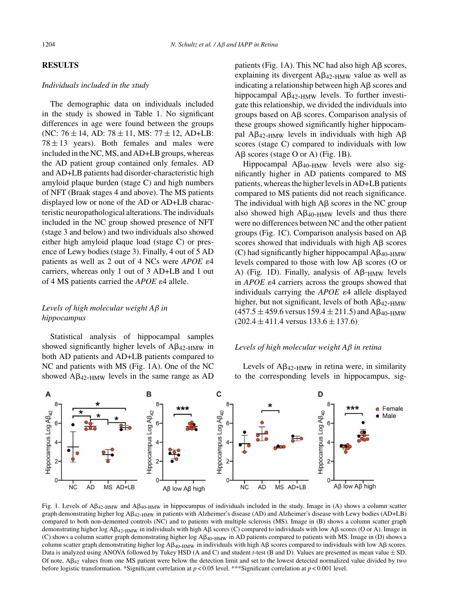## **RESULTS**

## *Individuals included in the study*

The demographic data on individuals included in the study is showed in Table 1. No significant differences in age were found between the groups (NC:  $76 \pm 14$ , AD:  $78 \pm 11$ , MS:  $77 \pm 12$ , AD+LB:  $78 \pm 13$  years). Both females and males were included in the NC, MS, and AD+LB groups, whereas the AD patient group contained only females. AD and AD+LB patients had disorder-characteristic high amyloid plaque burden (stage C) and high numbers of NFT (Braak stages 4 and above). The MS patients displayed low or none of the AD or AD+LB characteristic neuropathological alterations. The individuals included in the NC group showed presence of NFT (stage 3 and below) and two individuals also showed either high amyloid plaque load (stage C) or presence of Lewy bodies (stage 3). Finally, 4 out of 5 AD patients as well as 2 out of 4 NCs were  $APOE \varepsilon 4$ carriers, whereas only 1 out of 3 AD+LB and 1 out of 4 MS patients carried the  $APOE \varepsilon 4$  allele.

# *Levels of high molecular weight A*β *in hippocampus*

Statistical analysis of hippocampal samples showed significantly higher levels of  $A\beta_{42-HMW}$  in both AD patients and AD+LB patients compared to NC and patients with MS (Fig. 1A). One of the NC showed  $A\beta_{42-HMW}$  levels in the same range as AD

patients (Fig. 1A). This NC had also high  $\text{A}\beta$  scores, explaining its divergent  $A\beta_{42-HMW}$  value as well as indicating a relationship between high  $\text{A}\beta$  scores and hippocampal  $A\beta_{42-HMW}$  levels. To further investigate this relationship, we divided the individuals into groups based on  $A\beta$  scores. Comparison analysis of these groups showed significantly higher hippocampal A $\beta$ <sub>42-HMW</sub> levels in individuals with high A $\beta$ scores (stage C) compared to individuals with low  $A\beta$  scores (stage O or A) (Fig. 1B).

Hippocampal  $A\beta_{40-HMW}$  levels were also significantly higher in AD patients compared to MS patients, whereas the higher levels in AD+LB patients compared to MS patients did not reach significance. The individual with high  $A\beta$  scores in the NC group also showed high  $A\beta_{40-HMW}$  levels and thus there were no differences between NC and the other patient groups (Fig. 1C). Comparison analysis based on  $A\beta$ scores showed that individuals with high  $A\beta$  scores (C) had significantly higher hippocampal  $A\beta_{40-HMW}$ levels compared to those with low  $A\beta$  scores (O or A) (Fig. 1D). Finally, analysis of  $A\beta$ - $_{\text{HMW}}$  levels in *APOE*  $\varepsilon$ 4 carriers across the groups showed that individuals carrying the  $APOE$   $\varepsilon$ 4 allele displayed higher, but not significant, levels of both  $AA_{2-HMW}$  $(457.5 \pm 459.6 \text{ versus } 159.4 \pm 211.5)$  and A $\beta_{40-HMW}$  $(202.4 \pm 411.4 \text{ versus } 133.6 \pm 137.6)$ .

## *Levels of high molecular weight A*β *in retina*

Levels of  $A\beta_{42-HMW}$  in retina were, in similarity to the corresponding levels in hippocampus, sig-



Fig. 1. Levels of  $A\beta_{42-HMW}$  and  $A\beta_{40-HMW}$  in hippocampus of individuals included in the study. Image in (A) shows a column scatter graph demonstrating higher log A $\beta_{42\text{-HMW}}$  in patients with Alzheimer's disease (AD) and Alzheimer's disease with Lewy bodies (AD+LB) compared to both non-demented controls (NC) and to patients with multiple sclerosis (MS). Image in (B) shows a column scatter graph demonstrating higher log A $\beta_{42\text{-HMW}}$  in individuals with high A $\beta$  scores (C) compared to individuals with low A $\beta$  scores (O or A). Image in (C) shows a column scatter graph demonstrating higher log  $A\beta_{40-HMW}$  in AD patients compared to patients with MS. Image in (D) shows a column scatter graph demonstrating higher log  $A\beta_{40-HMW}$  in individuals with high  $A\beta$  scores compared to individuals with low  $A\beta$  scores. Data is analyzed using ANOVA followed by Tukey HSD (A and C) and student *t*-test (B and D). Values are presented as mean value  $\pm$  SD. Of note,  $\Delta\beta_{42}$  values from one MS patient were below the detection limit and set to the lowest detected normalized value divided by two before logistic transformation. \*Significant correlation at *p* < 0.05 level. \*\*\*Significant correlation at *p* < 0.001 level.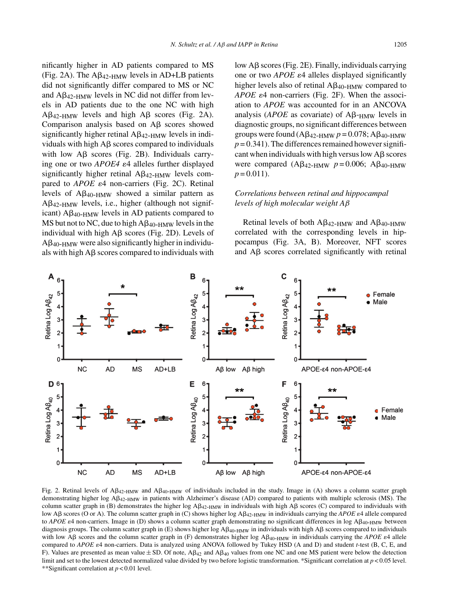nificantly higher in AD patients compared to MS (Fig. 2A). The  $A\beta_{42-HMW}$  levels in AD+LB patients did not significantly differ compared to MS or NC and  $A\beta_{42-HMW}$  levels in NC did not differ from levels in AD patients due to the one NC with high  $A\beta_{42-HMW}$  levels and high  $A\beta$  scores (Fig. 2A). Comparison analysis based on  $\mathsf{A}\mathsf{B}$  scores showed significantly higher retinal  $\text{A}\beta_{42-HMW}$  levels in individuals with high  $A\beta$  scores compared to individuals with low  $\mathbf{A}\mathbf{\beta}$  scores (Fig. 2B). Individuals carrying one or two  $APOE4 \epsilon 4$  alleles further displayed significantly higher retinal  $A\beta_{42-HMW}$  levels compared to  $APOE$   $\varepsilon$ 4 non-carriers (Fig. 2C). Retinal levels of  $A\beta_{40-HMW}$  showed a similar pattern as  $A\beta_{42-HMW}$  levels, i.e., higher (although not significant)  $A\beta_{40-HMW}$  levels in AD patients compared to MS but not to NC, due to high  $A\beta_{40-HMW}$  levels in the individual with high  $\text{A}\beta$  scores (Fig. 2D). Levels of  $A\beta_{40-HMW}$  were also significantly higher in individuals with high  $\text{A}\beta$  scores compared to individuals with

low  $\text{A}\beta$  scores (Fig. 2E). Finally, individuals carrying one or two  $APOE$   $\varepsilon$ 4 alleles displayed significantly higher levels also of retinal  $AB_{40-HMW}$  compared to  $APOE$   $\varepsilon$ 4 non-carriers (Fig. 2F). When the association to *APOE* was accounted for in an ANCOVA analysis ( $APOE$  as covariate) of  $A\beta$ - $HMW$  levels in diagnostic groups, no significant differences between groups were found  $(A\beta_{42-HMW} p = 0.078; A\beta_{40-HMW}$  $p = 0.341$ ). The differences remained however significant when individuals with high versus low  $\text{A}\beta$  scores were compared (Aβ<sub>42-HMW</sub>  $p = 0.006$ ; Aβ<sub>40-HMW</sub>  $p = 0.011$ .

# *Correlations between retinal and hippocampal levels of high molecular weight A*β

Retinal levels of both  $A\beta_{42-HMW}$  and  $A\beta_{40-HMW}$ correlated with the corresponding levels in hippocampus (Fig. 3A, B). Moreover, NFT scores and  $\text{A}\beta$  scores correlated significantly with retinal



Fig. 2. Retinal levels of  $AB_{42-HMW}$  and  $AB_{40-HMW}$  of individuals included in the study. Image in (A) shows a column scatter graph demonstrating higher log A $\beta_{42-HMW}$  in patients with Alzheimer's disease (AD) compared to patients with multiple sclerosis (MS). The column scatter graph in (B) demonstrates the higher log  $A\beta_{42-HMW}$  in individuals with high A $\beta$  scores (C) compared to individuals with low Aβ scores (O or A). The column scatter graph in (C) shows higher log Aβ<sub>42-HMW</sub> in individuals carrying the *APOE* ε4 allele compared to *APOE*  $\varepsilon$ 4 non-carriers. Image in (D) shows a column scatter graph demonstrating no significant differences in log A $\beta$ <sub>40-HMW</sub> between diagnosis groups. The column scatter graph in (E) shows higher  $log A\beta_{40-HMW}$  in individuals with high A $\beta$  scores compared to individuals with low A $\beta$  scores and the column scatter graph in (F) demonstrates higher log  $A\beta_{40-HMW}$  in individuals carrying the *APOE*  $\varepsilon$ 4 allele compared to *APOE*  $\varepsilon$ 4 non-carriers. Data is analyzed using ANOVA followed by Tukey HSD (A and D) and student *t*-test (B, C, E, and F). Values are presented as mean value  $\pm$  SD. Of note, A $\beta_{42}$  and A $\beta_{40}$  values from one NC and one MS patient were below the detection limit and set to the lowest detected normalized value divided by two before logistic transformation. \*Significant correlation at *p* < 0.05 level. \*\*Significant correlation at *p* < 0.01 level.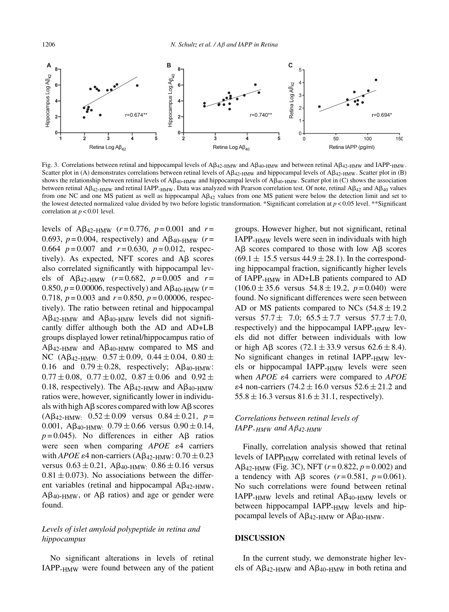

Fig. 3. Correlations between retinal and hippocampal levels of A $\beta_{42-HMW}$  and A $\beta_{40-HMW}$  and between retinal A $\beta_{42-HMW}$  and IAPP- $_{\rm HMW}$ . Scatter plot in (A) demonstrates correlations between retinal levels of  $A\beta_{42-HMW}$  and hippocampal levels of  $A\beta_{42-HMW}$ . Scatter plot in (B) shows the relationship between retinal levels of  $A\beta_{40-HMW}$  and hippocampal levels of  $A\beta_{40-HMW}$ . Scatter plot in (C) shows the association between retinal A $\beta_{42\text{-HMW}}$  and retinal IAPP-<sub>HMW</sub>. Data was analyzed with Pearson correlation test. Of note, retinal A $\beta_{42}$  and A $\beta_{40}$  values from one NC and one MS patient as well as hippocampal  $A\beta_{42}$  values from one MS patient were below the detection limit and set to the lowest detected normalized value divided by two before logistic transformation. \*Significant correlation at *p* < 0.05 level. \*\*Significant correlation at  $p < 0.01$  level.

levels of  $A\beta_{42-HMW}$  ( $r = 0.776$ ,  $p = 0.001$  and  $r =$ 0.693,  $p = 0.004$ , respectively) and A $\beta_{40-HMW}$  ( $r =$ 0.664  $p = 0.007$  and  $r = 0.630$ ,  $p = 0.012$ , respectively). As expected, NFT scores and  $\overrightarrow{AB}$  scores also correlated significantly with hippocampal levels of  $A\beta_{42-HMW}$  ( $r = 0.682$ ,  $p = 0.005$  and  $r =$ 0.850,  $p = 0.00006$ , respectively) and  $A\beta_{40-HMW}$  ( $r =$ 0.718, *p* = 0.003 and *r* = 0.850, *p* = 0.00006, respectively). The ratio between retinal and hippocampal  $A\beta_{42-HMW}$  and  $A\beta_{40-HMW}$  levels did not significantly differ although both the AD and AD+LB groups displayed lower retinal/hippocampus ratio of  $A\beta_{42-HMW}$  and  $A\beta_{40-HMW}$  compared to MS and NC (A $\beta_{42-HMW:}$  0.57  $\pm$  0.09, 0.44  $\pm$  0.04, 0.80  $\pm$ 0.16 and  $0.79 \pm 0.28$ , respectively; A $\beta_{40-HMW}$ :  $0.77 \pm 0.08$ ,  $0.77 \pm 0.02$ ,  $0.87 \pm 0.06$  and  $0.92 \pm 0.06$ 0.18, respectively). The  $A\beta_{42-HMW}$  and  $A\beta_{40-HMW}$ ratios were, however, significantly lower in individuals with high  $\text{A}\beta$  scores compared with low  $\text{A}\beta$  scores  $(A\beta_{42-HMW:} 0.52 \pm 0.09$  versus  $0.84 \pm 0.21$ ,  $p =$ 0.001, A $\beta_{40-HMW}$ : 0.79  $\pm$  0.66 versus 0.90  $\pm$  0.14,  $p = 0.045$ ). No differences in either A $\beta$  ratios were seen when comparing *APOE*  $\varepsilon$ 4 carriers with *APOE*  $\varepsilon$ 4 non-carriers (A $\beta$ <sub>42-HMW</sub>:  $0.70 \pm 0.23$ versus  $0.63 \pm 0.21$ ,  $\text{A}\beta_{40-HMW:}$   $0.86 \pm 0.16$  versus  $0.81 \pm 0.073$ ). No associations between the different variables (retinal and hippocampal  $\text{A}\beta_{42-HMW},$  $A\beta_{40-HMW}$ , or  $A\beta$  ratios) and age or gender were found.

# *Levels of islet amyloid polypeptide in retina and hippocampus*

No significant alterations in levels of retinal IAPP-HMW were found between any of the patient groups. However higher, but not significant, retinal IAPP-HMW levels were seen in individuals with high  $A\beta$  scores compared to those with low  $A\beta$  scores  $(69.1 \pm 15.5$  versus  $44.9 \pm 28.1$ ). In the corresponding hippocampal fraction, significantly higher levels of IAPP-HMW in AD+LB patients compared to AD  $(106.0 \pm 35.6 \text{ versus } 54.8 \pm 19.2, p = 0.040) \text{ were}$ found. No significant differences were seen between AD or MS patients compared to NCs  $(54.8 \pm 19.2)$ versus  $57.7 \pm 7.0$ ;  $65.5 \pm 7.7$  versus  $57.7 \pm 7.0$ , respectively) and the hippocampal IAPP- $_{\text{HMW}}$  levels did not differ between individuals with low or high A $\beta$  scores (72.1  $\pm$  33.9 versus 62.6  $\pm$  8.4). No significant changes in retinal IAPP-HMW levels or hippocampal IAPP-HMW levels were seen when *APOE*  $\varepsilon$ 4 carriers were compared to *APOE*  $\varepsilon$ 4 non-carriers (74.2  $\pm$  16.0 versus 52.6  $\pm$  21.2 and  $55.8 \pm 16.3$  versus  $81.6 \pm 31.1$ , respectively).

# *Correlations between retinal levels of*  $IAPP$ - $HMW$  *and A* $\beta$ <sub>42-HMW</sub>

Finally, correlation analysis showed that retinal levels of IAPP<sub>HMW</sub> correlated with retinal levels of  $A\beta_{42-HMW}$  (Fig. 3C), NFT ( $r = 0.822$ ,  $p = 0.002$ ) and a tendency with A $\beta$  scores ( $r = 0.581$ ,  $p = 0.061$ ). No such correlations were found between retinal IAPP<sub>-HMW</sub> levels and retinal  $A\beta_{40-HMW}$  levels or between hippocampal IAPP-HMW levels and hippocampal levels of  $A\beta_{42-HMW}$  or  $A\beta_{40-HMW}$ .

#### **DISCUSSION**

In the current study, we demonstrate higher levels of  $A\beta_{42-HMW}$  and  $A\beta_{40-HMW}$  in both retina and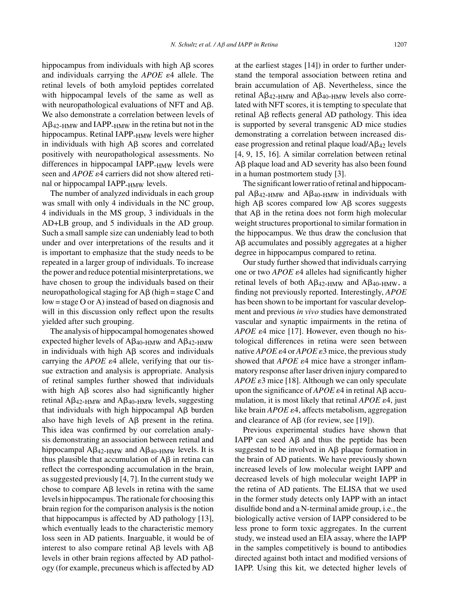hippocampus from individuals with high  $A\beta$  scores and individuals carrying the  $APOE$   $\varepsilon$ 4 allele. The retinal levels of both amyloid peptides correlated with hippocampal levels of the same as well as with neuropathological evaluations of NFT and  $A\beta$ . We also demonstrate a correlation between levels of  $A\beta_{42-HMW}$  and IAPP- $_{HMW}$  in the retina but not in the hippocampus. Retinal IAPP-<sub>HMW</sub> levels were higher in individuals with high  $\text{A}\beta$  scores and correlated positively with neuropathological assessments. No differences in hippocampal IAPP-HMW levels were seen and *APOE*  $\varepsilon$ 4 carriers did not show altered retinal or hippocampal IAPP- $_{\text{HMW}}$  levels.

The number of analyzed individuals in each group was small with only 4 individuals in the NC group, 4 individuals in the MS group, 3 individuals in the AD+LB group, and 5 individuals in the AD group. Such a small sample size can undeniably lead to both under and over interpretations of the results and it is important to emphasize that the study needs to be repeated in a larger group of individuals. To increase the power and reduce potential misinterpretations, we have chosen to group the individuals based on their neuropathological staging for  $\overrightarrow{AB}$  (high = stage C and low = stage O or A) instead of based on diagnosis and will in this discussion only reflect upon the results yielded after such grouping.

The analysis of hippocampal homogenates showed expected higher levels of  $A\beta_{40-HMW}$  and  $A\beta_{42-HMW}$ in individuals with high  $A\beta$  scores and individuals carrying the  $APOE \varepsilon 4$  allele, verifying that our tissue extraction and analysis is appropriate. Analysis of retinal samples further showed that individuals with high  $\text{A}\beta$  scores also had significantly higher retinal  $\text{A} \beta_{42\text{-HMW}}$  and  $\text{A} \beta_{40\text{-HMW}}$  levels, suggesting that individuals with high hippocampal  $\overrightarrow{AB}$  burden also have high levels of  $\text{A}\beta$  present in the retina. This idea was confirmed by our correlation analysis demonstrating an association between retinal and hippocampal  $\mathbf{A}\beta_{42-HMW}$  and  $\mathbf{A}\beta_{40-HMW}$  levels. It is thus plausible that accumulation of  $A\beta$  in retina can reflect the corresponding accumulation in the brain, as suggested previously [4, 7]. In the current study we chose to compare  $\text{A}\beta$  levels in retina with the same levels in hippocampus. The rationale for choosing this brain region for the comparison analysis is the notion that hippocampus is affected by AD pathology [13], which eventually leads to the characteristic memory loss seen in AD patients. Inarguable, it would be of interest to also compare retinal A $\beta$  levels with A $\beta$ levels in other brain regions affected by AD pathology (for example, precuneus which is affected by AD

at the earliest stages [14]) in order to further understand the temporal association between retina and brain accumulation of  $A\beta$ . Nevertheless, since the retinal  $A\beta_{42-HMW}$  and  $A\beta_{40-HMW}$  levels also correlated with NFT scores, it is tempting to speculate that retinal  $\mathsf{A}\beta$  reflects general  $\mathsf{A}\mathsf{D}$  pathology. This idea is supported by several transgenic AD mice studies demonstrating a correlation between increased disease progression and retinal plaque load/ $A\beta_{42}$  levels [4, 9, 15, 16]. A similar correlation between retinal A $\beta$  plaque load and AD severity has also been found in a human postmortem study [3].

The significant lower ratio of retinal and hippocampal A $\beta$ <sub>42-HMW</sub> and A $\beta$ <sub>40-HMW</sub> in individuals with high  $\text{A}\beta$  scores compared low  $\text{A}\beta$  scores suggests that  $\mathbf{A}\beta$  in the retina does not form high molecular weight structures proportional to similar formation in the hippocampus. We thus draw the conclusion that  $A\beta$  accumulates and possibly aggregates at a higher degree in hippocampus compared to retina.

Our study further showed that individuals carrying one or two  $APOE \epsilon 4$  alleles had significantly higher retinal levels of both  $A\beta_{42-HMW}$  and  $A\beta_{40-HMW}$ , a finding not previously reported. Interestingly, *APOE* has been shown to be important for vascular development and previous *in vivo* studies have demonstrated vascular and synaptic impairments in the retina of *APOE*  $\varepsilon$ 4 mice [17]. However, even though no histological differences in retina were seen between native *APOE*  $\varepsilon$ 4 or *APOE*  $\varepsilon$ 3 mice, the previous study showed that  $APOE \varepsilon_4$  mice have a stronger inflammatory response after laser driven injury compared to *APOE*  $\varepsilon$ 3 mice [18]. Although we can only speculate upon the significance of  $APOE \varepsilon_4$  in retinal A $\beta$  accumulation, it is most likely that retinal  $APOE \epsilon 4$ , just like brain  $APOE$   $\varepsilon$ 4, affects metabolism, aggregation and clearance of  $\text{A}\beta$  (for review, see [19]).

Previous experimental studies have shown that IAPP can seed  $\overrightarrow{AB}$  and thus the peptide has been suggested to be involved in  $\overrightarrow{AB}$  plaque formation in the brain of AD patients. We have previously shown increased levels of low molecular weight IAPP and decreased levels of high molecular weight IAPP in the retina of AD patients. The ELISA that we used in the former study detects only IAPP with an intact disulfide bond and a N-terminal amide group, i.e., the biologically active version of IAPP considered to be less prone to form toxic aggregates. In the current study, we instead used an EIA assay, where the IAPP in the samples competitively is bound to antibodies directed against both intact and modified versions of IAPP. Using this kit, we detected higher levels of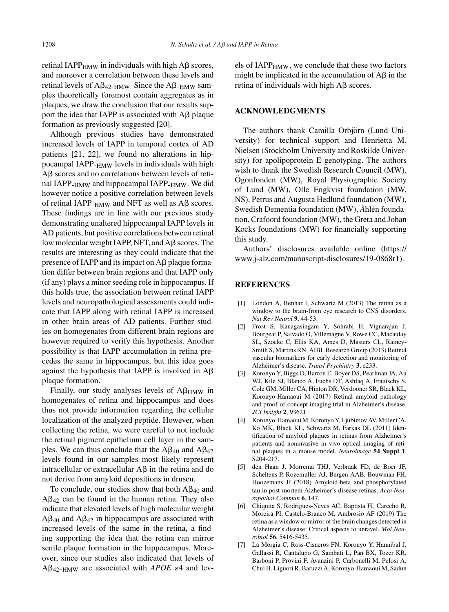retinal IAPP $_{\rm HMW}$  in individuals with high A $\beta$  scores, and moreover a correlation between these levels and retinal levels of  $A\beta_{42-HMW}$ . Since the  $A\beta_{-HMW}$  samples theoretically foremost contain aggregates as in plaques, we draw the conclusion that our results support the idea that IAPP is associated with  $\text{A}\beta$  plaque formation as previously suggested [20].

Although previous studies have demonstrated increased levels of IAPP in temporal cortex of AD patients [21, 22], we found no alterations in hippocampal IAPP-HMW levels in individuals with high  $A\beta$  scores and no correlations between levels of retinal IAPP-HMW and hippocampal IAPP-HMW. We did however notice a positive correlation between levels of retinal IAPP- $_{\text{HMW}}$  and NFT as well as A $\beta$  scores. These findings are in line with our previous study demonstrating unaltered hippocampal IAPP levels in AD patients, but positive correlations between retinal low molecular weight IAPP, NFT, and  $\overline{AB}$  scores. The results are interesting as they could indicate that the presence of IAPP and its impact on  $A\beta$  plaque formation differ between brain regions and that IAPP only (if any) plays a minor seeding role in hippocampus. If this holds true, the association between retinal IAPP levels and neuropathological assessments could indicate that IAPP along with retinal IAPP is increased in other brain areas of AD patients. Further studies on homogenates from different brain regions are however required to verify this hypothesis. Another possibility is that IAPP accumulation in retina precedes the same in hippocampus, but this idea goes against the hypothesis that IAPP is involved in  $A\beta$ plaque formation.

Finally, our study analyses levels of  $A\beta_{\rm HMW}$  in homogenates of retina and hippocampus and does thus not provide information regarding the cellular localization of the analyzed peptide. However, when collecting the retina, we were careful to not include the retinal pigment epithelium cell layer in the samples. We can thus conclude that the  $\text{A}\beta_{40}$  and  $\text{A}\beta_{42}$ levels found in our samples most likely represent intracellular or extracellular  $\overrightarrow{AB}$  in the retina and do not derive from amyloid depositions in drusen.

To conclude, our studies show that both  $A\beta_{40}$  and  $A\beta_{42}$  can be found in the human retina. They also indicate that elevated levels of high molecular weight  $A\beta_{40}$  and  $A\beta_{42}$  in hippocampus are associated with increased levels of the same in the retina, a finding supporting the idea that the retina can mirror senile plaque formation in the hippocampus. Moreover, since our studies also indicated that levels of  $A\beta_{42-HMW}$  are associated with *APOE*  $\varepsilon$ 4 and levels of  $IAPP<sub>HMW</sub>$ , we conclude that these two factors might be implicated in the accumulation of  $\text{A}\beta$  in the retina of individuals with high  $A\beta$  scores.

## **ACKNOWLEDGMENTS**

The authors thank Camilla Orbjörn (Lund University) for technical support and Henrietta M. Nielsen (Stockholm University and Roskilde University) for apolipoprotein E genotyping. The authors wish to thank the Swedish Research Council (MW), Ogonfonden (MW), Royal Physiographic Society ¨ of Lund (MW), Olle Engkvist foundation (MW, NS), Petrus and Augusta Hedlund foundation (MW), Swedish Dementia foundation (MW), *Å*hlén foundation, Crafoord foundation (MW), the Greta and Johan Kocks foundations (MW) for financially supporting this study.

Authors' disclosures available online [\(https://](https://www.j-alz.com/manuscript-disclosures/19-0868r1) [www.j-alz.com/manuscript-disclosures/19-0868r1\)](https://www.j-alz.com/manuscript-disclosures/19-0868r1).

## **REFERENCES**

- [1] London A, Benhar I, Schwartz M (2013) The retina as a window to the brain-from eye research to CNS disorders. *Nat Rev Neurol* **9**, 44-53.
- [2] Frost S, Kanagasingam Y, Sohrabi H, Vignarajan J, Bourgeat P, Salvado O, Villemagne V, Rowe CC, Macaulay SL, Szoeke C, Ellis KA, Ames D, Masters CL, Rainey-Smith S, Martins RN, AIBL Research Group (2013) Retinal vascular biomarkers for early detection and monitoring of Alzheimer's disease. *Transl Psychiatry* **3**, e233.
- [3] Koronyo Y, Biggs D, Barron E, Boyer DS, Pearlman JA, Au WJ, Kile SJ, Blanco A, Fuchs DT, Ashfaq A, Frautschy S, Cole GM, Miller CA, Hinton DR, Verdooner SR, Black KL, Koronyo-Hamaoui M (2017) Retinal amyloid pathology and proof-of-concept imaging trial in Alzheimer's disease. *JCI Insight* **2**, 93621.
- [4] Koronyo-Hamaoui M, Koronyo Y, Ljubimov AV, Miller CA, Ko MK, Black KL, Schwartz M, Farkas DL (2011) Identification of amyloid plaques in retinas from Alzheimer's patients and noninvasive in vivo optical imaging of retinal plaques in a mouse model. *Neuroimage* **54 Suppl 1**, S204-217.
- [5] den Haan J, Morrema THJ, Verbraak FD, de Boer JF, Scheltens P, Rozemuller AJ, Bergen AAB, Bouwman FH, Hoozemans JJ (2018) Amyloid-beta and phosphorylated tau in post-mortem Alzheimer's disease retinas. *Acta Neuropathol Commun* **6**, 147.
- [6] Chiquita S, Rodrigues-Neves AC, Baptista FI, Carecho R, Moreira PI, Castelo-Branco M, Ambrosio AF (2019) The retina as a window or mirror of the brain changes detected in Alzheimer's disease: Critical aspects to unravel. *Mol Neurobiol* **56**, 5416-5435.
- [7] La Morgia C, Ross-Cisneros FN, Koronyo Y, Hannibal J, Gallassi R, Cantalupo G, Sambati L, Pan BX, Tozer KR, Barboni P, Provini F, Avanzini P, Carbonelli M, Pelosi A, Chui H, Liguori R, Baruzzi A, Koronyo-Hamaoui M, Sadun